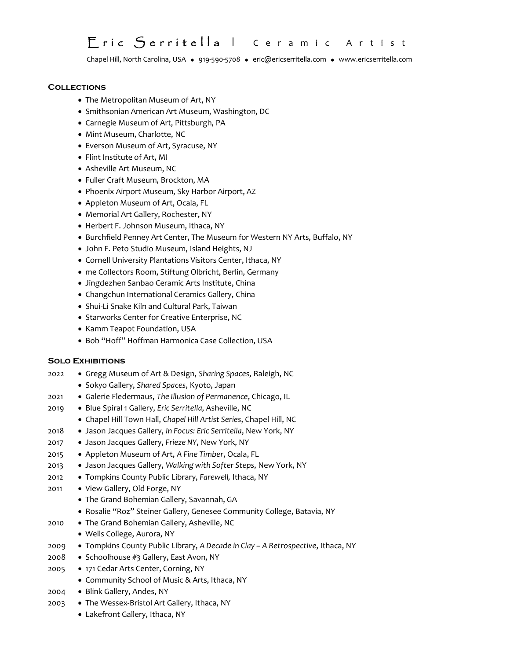# Eríc Serrítella I Ceramic Artist

Chapel Hill, North Carolina, USA · 919-590-5708 · eric@ericserritella.com · [www.ericserritella.com](http://www.ericserritella.com/)

#### **Collections**

- The Metropolitan Museum of Art, NY
- Smithsonian American Art Museum, Washington, DC
- Carnegie Museum of Art, Pittsburgh, PA
- Mint Museum, Charlotte, NC
- Everson Museum of Art, Syracuse, NY
- Flint Institute of Art, MI
- Asheville Art Museum, NC
- Fuller Craft Museum, Brockton, MA
- Phoenix Airport Museum, Sky Harbor Airport, AZ
- Appleton Museum of Art, Ocala, FL
- Memorial Art Gallery, Rochester, NY
- Herbert F. Johnson Museum, Ithaca, NY
- Burchfield Penney Art Center, The Museum for Western NY Arts, Buffalo, NY
- J0hn F. Peto Studio Museum, Island Heights, NJ
- Cornell University Plantations Visitors Center, Ithaca, NY
- me Collectors Room, Stiftung Olbricht, Berlin, Germany
- Jingdezhen Sanbao Ceramic Arts Institute, China
- Changchun International Ceramics Gallery, China
- Shui-Li Snake Kiln and Cultural Park, Taiwan
- Starworks Center for Creative Enterprise, NC
- Kamm Teapot Foundation, USA
- Bob "Hoff" Hoffman Harmonica Case Collection, USA

#### **Solo Exhibitions**

- 2022 Gregg Museum of Art & Design, *Sharing Spaces*, Raleigh, NC
	- Sokyo Gallery, *Shared Spaces*, Kyoto, Japan
- 2021 Galerie Fledermaus, *The Illusion of Permanence*, Chicago, IL
- 2019 Blue Spiral 1 Gallery, *Eric Serritella*, Asheville, NC
	- Chapel Hill Town Hall, *Chapel Hill Artist Series*, Chapel Hill, NC
- 2018 Jason Jacques Gallery, *In Focus: Eric Serritella*, New York, NY
- 2017 Jason Jacques Gallery, *Frieze NY*, New York, NY
- 2015 Appleton Museum of Art, *A Fine Timber*, Ocala, FL
- 2013 Jason Jacques Gallery, *Walking with Softer Steps*, New York, NY
- 2012 Tompkins County Public Library, *Farewell,* Ithaca, NY
- 2011 View Gallery, Old Forge, NY
	- The Grand Bohemian Gallery, Savannah, GA
	- Rosalie "Roz" Steiner Gallery, Genesee Community College, Batavia, NY
- 2010 The Grand Bohemian Gallery, Asheville, NC
- Wells College, Aurora, NY
- 2009 Tompkins County Public Library, *A Decade in Clay – A Retrospective*, Ithaca, NY
- 2008 Schoolhouse #3 Gallery, East Avon, NY
- 2005 171 Cedar Arts Center, Corning, NY
	- Community School of Music & Arts, Ithaca, NY
- 2004 Blink Gallery, Andes, NY
- 2003 The Wessex-Bristol Art Gallery, Ithaca, NY
	- Lakefront Gallery, Ithaca, NY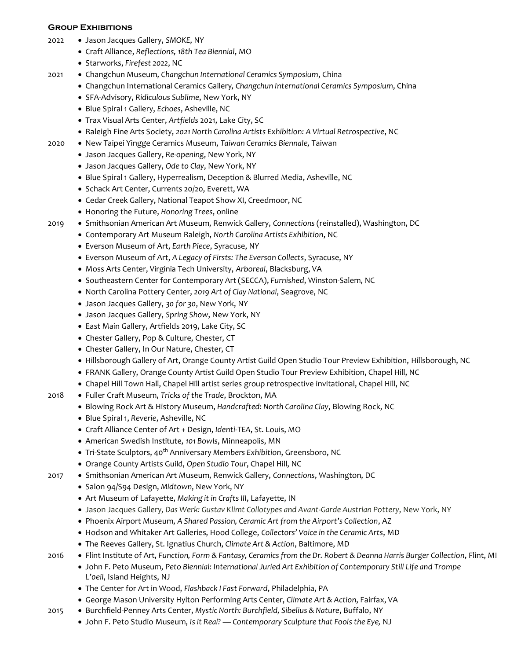#### **Group Exhibitions**

- 2022 Jason Jacques Gallery, *SMOKE*, NY
	- Craft Alliance, *Reflections, 18th Tea Biennial*, MO
	- Starworks, *Firefest 2022*, NC
- 2021 Changchun Museum*, Changchun International Ceramics Symposium*, China
	- Changchun International Ceramics Gallery*, Changchun International Ceramics Symposium*, China
	- SFA-Advisory, *Ridiculous Sublime*, New York, NY
	- Blue Spiral 1 Gallery, *Echoes*, Asheville, NC
	- Trax Visual Arts Center, *Artfields* 2021, Lake City, SC
	- Raleigh Fine Arts Society, *2021 North Carolina Artists Exhibition: A Virtual Retrospective*, NC
- 2020 New Taipei Yingge Ceramics Museum, *Taiwan Ceramics Biennale,* Taiwan
	- Jason Jacques Gallery, *Re-opening*, New York, NY
	- Jason Jacques Gallery, *Ode to Clay*, New York, NY
	- Blue Spiral 1 Gallery, Hyperrealism, Deception & Blurred Media, Asheville, NC
	- Schack Art Center, Currents 20/20, Everett, WA
	- Cedar Creek Gallery, National Teapot Show XI, Creedmoor, NC
	- Honoring the Future, *Honoring Trees*, online
- 2019 Smithsonian American Art Museum, Renwick Gallery, *Connections* (reinstalled), Washington, DC
	- Contemporary Art Museum Raleigh, *North Carolina Artists Exhibition*, NC
	- Everson Museum of Art, *Earth Piece*, Syracuse, NY
	- Everson Museum of Art, *A Legacy of Firsts: The Everson Collects*, Syracuse, NY
	- Moss Arts Center, Virginia Tech University, *Arboreal*, Blacksburg, VA
	- Southeastern Center for Contemporary Art (SECCA), *Furnished*, Winston-Salem, NC
	- North Carolina Pottery Center, *2019 Art of Clay National*, Seagrove, NC
	- Jason Jacques Gallery, *30 for 30*, New York, NY
	- Jason Jacques Gallery, *Spring Show*, New York, NY
	- East Main Gallery, Artfields 2019, Lake City, SC
	- Chester Gallery, Pop & Culture, Chester, CT
	- Chester Gallery, In Our Nature, Chester, CT
	- Hillsborough Gallery of Art, Orange County Artist Guild Open Studio Tour Preview Exhibition, Hillsborough, NC
	- FRANK Gallery, Orange County Artist Guild Open Studio Tour Preview Exhibition, Chapel Hill, NC
	- Chapel Hill Town Hall, Chapel Hill artist series group retrospective invitational, Chapel Hill, NC
- 2018 Fuller Craft Museum, *Tricks of the Trade*, Brockton, MA
	- Blowing Rock Art & History Museum, *Handcrafted: North Carolina Clay*, Blowing Rock, NC
	- Blue Spiral 1, *Reverie*, Asheville, NC
	- Craft Alliance Center of Art + Design, *Identi-TEA*, St. Louis, MO
	- American Swedish Institute, *101 Bowls*, Minneapolis, MN
	- Tri-State Sculptors, 40<sup>th</sup> Anniversary *Members Exhibition*, Greensboro, NC
	- Orange County Artists Guild, *Open Studio Tour*, Chapel Hill, NC
- 2017 Smithsonian American Art Museum, Renwick Gallery, *Connections*, Washington, DC
	- Salon 94/S94 Design, *Midtown*, New York, NY
	- Art Museum of Lafayette, *Making it in Crafts III*, Lafayette, IN
	- Jason Jacques Gallery*, Das Werk: Gustav Klimt Collotypes and Avant-Garde Austrian Pottery*, New York, NY
	- Phoenix Airport Museum, *A Shared Passion, Ceramic Art from the Airport's Collection*, AZ
	- Hodson and Whitaker Art Galleries, Hood College, *Collectors' Voice in the Ceramic Arts*, MD
	- The Reeves Gallery, St. Ignatius Church, *Climate Art & Action*, Baltimore, MD
- 2016 Flint Institute of Art, *Function, Form & Fantasy, Ceramics from the Dr. Robert & Deanna Harris Burger Collection*, Flint, MI
	- John F. Peto Museum, *Peto Biennial: International Juried Art Exhibition of Contemporary Still Life and Trompe L'0eil*, Island Heights, NJ
	- The Center for Art in Wood, *Flashback I Fast Forward*, Philadelphia, PA
	- George Mason University Hylton Performing Arts Center, *Climate Art & Action*, Fairfax, VA
- 2015 Burchfield-Penney Arts Center, *Mystic North: Burchfield, Sibelius & Nature*, Buffalo, NY
	- John F. Peto Studio Museum, *Is it Real? Contemporary Sculpture that Fools the Eye,* NJ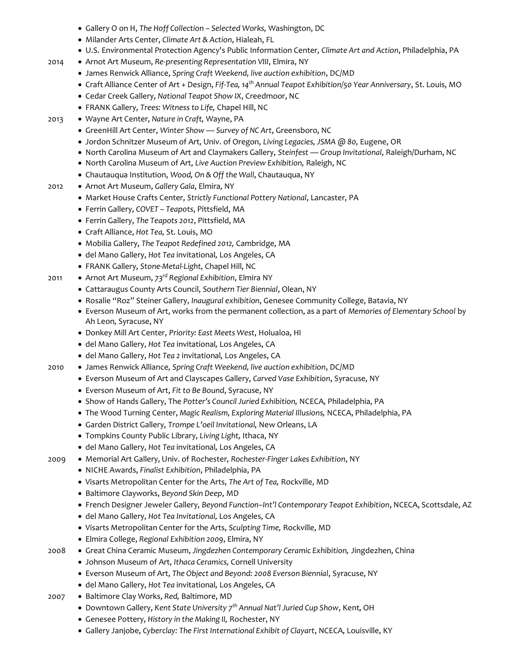- Gallery O on H, *The Hoff Collection – Selected Works,* Washington, DC
- Milander Arts Center, *Climate Art & Action*, Hialeah, FL
- U.S. Environmental Protection Agency's Public Information Center, *Climate Art and Action*, Philadelphia, PA
- 2014 Arnot Art Museum, *Re-presenting Representation VIII*, Elmira, NY
	- James Renwick Alliance, *Spring Craft Weekend, live auction exhibition*, DC/MD
	- Craft Alliance Center of Art + Design, *Fif-Tea, 14th Annual Teapot Exhibition/50 Year Anniversary*, St. Louis, MO
	- Cedar Creek Gallery, *National Teapot Show IX*, Creedmoor, NC
	- FRANK Gallery, *Trees: Witness to Life,* Chapel Hill, NC
- 2013 Wayne Art Center, *Nature in Craft,* Wayne, PA
	- GreenHill Art Center, *Winter Show — Survey of NC Art*, Greensboro, NC
	- Jordon Schnitzer Museum of Art, Univ. of Oregon, *Living Legacies, JSMA @ 80,* Eugene, OR
	- North Carolina Museum of Art and Claymakers Gallery, *Steinfest — Group Invitational*, Raleigh/Durham, NC
	- North Carolina Museum of Art, *Live Auction Preview Exhibition,* Raleigh, NC
	- Chautauqua Institution, *Wood, On & Off the Wall*, Chautauqua, NY
- 2012 Arnot Art Museum, *Gallery Gala*, Elmira, NY
	- Market House Crafts Center, *Strictly Functional Pottery National*, Lancaster, PA
	- Ferrin Gallery, *COVET – Teapots*, Pittsfield, MA
	- Ferrin Gallery, *The Teapots 2012*, Pittsfield, MA
	- Craft Alliance, *Hot Tea,* St. Louis, MO
	- Mobilia Gallery, *The Teapot Redefined 2012,* Cambridge, MA
	- del Mano Gallery, *Hot Tea* invitational*,* Los Angeles, CA
	- FRANK Gallery, *Stone-Metal-Light,* Chapel Hill, NC
- 2011 Arnot Art Museum, *73rd Regional Exhibition*, Elmira NY
	- Cattaraugus County Arts Council, *Southern Tier Biennial*, Olean, NY
	- Rosalie "Roz" Steiner Gallery, *Inaugural exhibition*, Genesee Community College, Batavia, NY
	- Everson Museum of Art, works from the permanent collection, as a part of *Memories of Elementary School* by Ah Leon, Syracuse, NY
	- Donkey Mill Art Center, *Priority: East Meets West*, Holualoa, HI
	- del Mano Gallery, *Hot Tea* invitational*,* Los Angeles, CA
	- del Mano Gallery, *Hot Tea 2* invitational*,* Los Angeles, CA
- 2010 James Renwick Alliance*, Spring Craft Weekend, live auction exhibition*, DC/MD
	- Everson Museum of Art and Clayscapes Gallery, *Carved Vase Exhibition*, Syracuse, NY
	- Everson Museum of Art, *Fit to Be Bound*, Syracuse, NY
	- Show of Hands Gallery, The *Potter's Council Juried Exhibition,* NCECA, Philadelphia, PA
	- The Wood Turning Center, *Magic Realism, Exploring Material Illusions,* NCECA, Philadelphia, PA
	- Garden District Gallery, *Trompe L'oeil Invitational,* New Orleans, LA
	- Tompkins County Public Library, *Living Light,* Ithaca, NY
	- del Mano Gallery, *Hot Tea* invitational*,* Los Angeles, CA
- 2009 Memorial Art Gallery, Univ. of Rochester, *Rochester-Finger Lakes Exhibition*, NY
	- NICHE Awards, *Finalist Exhibition*, Philadelphia, PA
	- Visarts Metropolitan Center for the Arts, *The Art of Tea,* Rockville, MD
	- Baltimore Clayworks, *Beyond Skin Deep*, MD
	- French Designer Jeweler Gallery, *Beyond Function–Int'l Contemporary Teapot Exhibition*, NCECA, Scottsdale, AZ
	- del Mano Gallery, *Hot Tea Invitational,* Los Angeles, CA
	- Visarts Metropolitan Center for the Arts, *Sculpting Time,* Rockville, MD
	- Elmira College, *Regional Exhibition 2009*, Elmira, NY
- 2008 Great China Ceramic Museum, *Jingdezhen Contemporary Ceramic Exhibition,* Jingdezhen, China
	- Johnson Museum of Art, *Ithaca Ceramics,* Cornell University
	- Everson Museum of Art, *The Object and Beyond: 2008 Everson Biennial*, Syracuse, NY
	- del Mano Gallery, *Hot Tea* invitational*,* Los Angeles, CA
- 2007 Baltimore Clay Works, *Red,* Baltimore, MD
	- Downtown Gallery, *Kent State University 7 th Annual Nat'l Juried Cup Show*, Kent, OH
	- Genesee Pottery, *History in the Making II,* Rochester, NY
	- Gallery Janjobe, *Cyberclay: The First International Exhibit of Clayart*, NCECA, Louisville, KY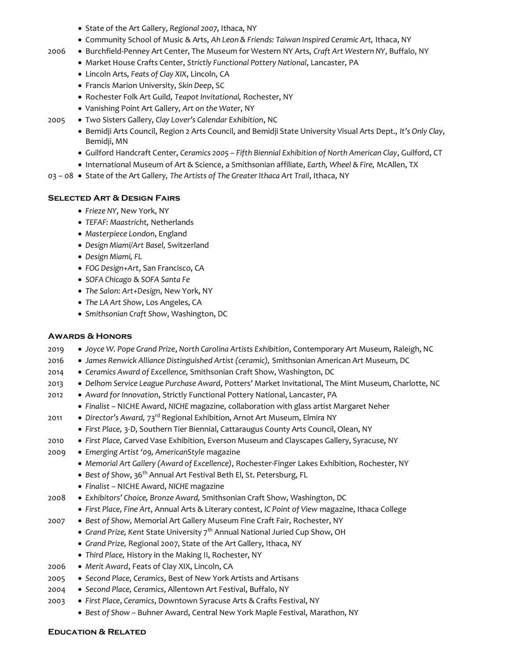- State of the Art Gallery, *Regional 2007*, Ithaca, NY
- Community School of Music & Arts, *Ah Leon & Friends: Taiwan Inspired Ceramic Art,* Ithaca, NY
- 2006 Burchfield-Penney Art Center, The Museum for Western NY Arts, *Craft Art Western NY*, Buffalo, NY
	- Market House Crafts Center, *Strictly Functional Pottery National*, Lancaster, PA
	- Lincoln Arts, *Feats of Clay XIX*, Lincoln, CA
	- Francis Marion University, *Skin Deep*, SC
	- Rochester Folk Art Guild, *Teapot Invitational,* Rochester, NY
	- Vanishing Point Art Gallery, *Art on the Water*, NY
- 2005 Two Sisters Gallery, *Clay Lover's Calendar Exhibition*, NC
	- Bemidji Arts Council, Region 2 Arts Council, and Bemidji State University Visual Arts Dept., *It's Only Clay*, Bemidji, MN
	- Guilford Handcraft Center, *Ceramics 2005 – Fifth Biennial Exhibition of North American Clay*, Guilford, CT
	- International Museum of Art & Science, a Smithsonian affiliate, *Earth, Wheel & Fire,* McAllen, TX
- 03 08 State of the Art Gallery*, The Artists of The Greater Ithaca Art Trail*, Ithaca, NY

## **Selected Art & Design Fairs**

- *Frieze NY*, New York, NY
- *TEFAF: Maastricht,* Netherlands
- *Masterpiece London*, England
- *Design Miami/Art Basel,* Switzerland
- *Design Miami, FL*
- *FOG Design+Art*, San Francisco, CA
- *SOFA Chicago* & *SOFA Santa Fe*
- *The Salon: Art+Design*, New York, NY
- *The LA Art Show*, Los Angeles, CA
- *Smithsonian Craft Show*, Washington, DC

## **Awards & Honors**

- 2019 *Joyce W. Pope Grand Prize*, *North Carolina Artists Exhibition*, Contemporary Art Museum, Raleigh, NC
- 2016 *James Renwick Alliance Distinguished Artist (ceramic),* Smithsonian American Art Museum, DC
- 2014 *Ceramics Award of Excellence,* Smithsonian Craft Show, Washington, DC
- 2013 *Delhom Service League Purchase Award*, Potters' Market Invitational, The Mint Museum, Charlotte, NC
- 2012 *Award for Innovation*, Strictly Functional Pottery National, Lancaster, PA
	- *Finalist –* NICHE Award, *NICHE* magazine, collaboration with glass artist Margaret Neher
- 2011 *Director's Award,* 73rd Regional Exhibition, Arnot Art Museum, Elmira NY
	- *First Place,* 3-D, Southern Tier Biennial, Cattaraugus County Arts Council, Olean, NY
- 2010 *First Place,* Carved Vase Exhibition, Everson Museum and Clayscapes Gallery, Syracuse, NY
- 2009 *Emerging Artist '09, AmericanStyle* magazine
	- *Memorial Art Gallery (Award of Excellence)*, Rochester-Finger Lakes Exhibition, Rochester, NY
	- *Best of Show*, 36<sup>th</sup> Annual Art Festival Beth El, St. Petersburg, FL
	- *Finalist –* NICHE Award, *NICHE* magazine
- 2008 *Exhibitors' Choice, Bronze Award,* Smithsonian Craft Show, Washington, DC
	- *First Place, Fine Art*, Annual Arts & Literary contest, *IC Point of View* magazine, Ithaca College
- 2007 *Best of Show,* Memorial Art Gallery Museum Fine Craft Fair, Rochester, NY
	- Grand Prize, Kent State University 7<sup>th</sup> Annual National Juried Cup Show, OH
	- *Grand Prize,* Regional 2007, State of the Art Gallery, Ithaca, NY
	- *Third Place,* History in the Making II, Rochester, NY
- 2006 *Merit Award*, Feats of Clay XIX, Lincoln, CA
- 2005 *Second Place, Ceramics*, Best of New York Artists and Artisans
- 2004 *Second Place, Ceramics*, Allentown Art Festival, Buffalo, NY
- 2003 *First Place*, *Ceramics*, Downtown Syracuse Arts & Crafts Festival, NY
	- *Best of Show –* Buhner Award, Central New York Maple Festival, Marathon, NY

#### **Education & Related**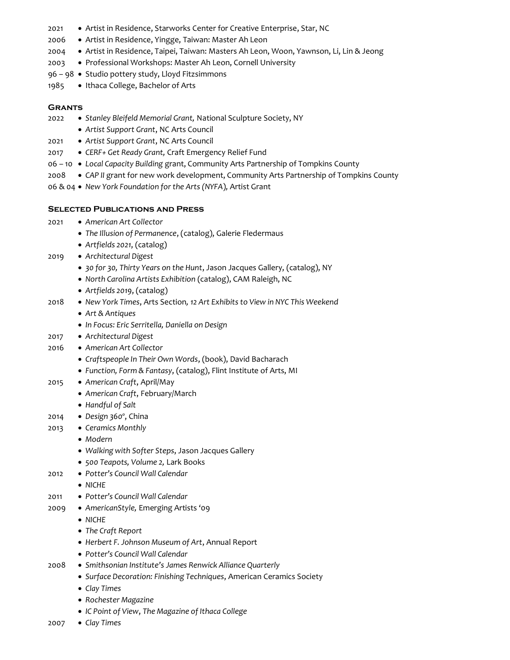- 2021 Artist in Residence, Starworks Center for Creative Enterprise, Star, NC
- 2006 Artist in Residence, Yingge, Taiwan: Master Ah Leon
- 2004 Artist in Residence, Taipei, Taiwan: Masters Ah Leon, Woon, Yawnson, Li, Lin & Jeong
- 2003 Professional Workshops: Master Ah Leon, Cornell University
- 96 98 Studio pottery study, Lloyd Fitzsimmons
- 1985 Ithaca College, Bachelor of Arts

#### **Grants**

- 2022 *Stanley Bleifeld Memorial Grant,* National Sculpture Society, NY
	- *Artist Support Grant*, NC Arts Council
- 2021 *Artist Support Grant*, NC Arts Council
- 2017 *CERF+ Get Ready Grant,* Craft Emergency Relief Fund
- 06 10 *Local Capacity Building* grant, Community Arts Partnership of Tompkins County
- 2008 *CAP II* grant for new work development, Community Arts Partnership of Tompkins County

06 & 04 • *New York Foundation for the Arts (NYFA*)*,* Artist Grant

#### **Selected Publications and Press**

- 2021 *American Art Collector*
	- *The Illusion of Permanence*, (catalog), Galerie Fledermaus
	- *Artfields 2021*, (catalog)
- 2019 *Architectural Digest*
	- *30 for 30, Thirty Years on the Hunt*, Jason Jacques Gallery, (catalog), NY
	- *North Carolina Artists Exhibition* (catalog), CAM Raleigh, NC
	- *Artfields 2019*, (catalog)
- 2018 *New York Times*, Arts Section*, 12 Art Exhibits to View in NYC This Weekend*
	- *Art & Antiques*
	- *In Focus: Eric Serritella, Daniella on Design*
- 2017 *Architectural Digest*
- 2016 *American Art Collector*
	- *Craftspeople In Their Own Words*, (book), David Bacharach
	- *Function, Form & Fantasy*, (catalog), Flint Institute of Arts, MI
- 2015 *American Craft*, April/May
	- *American Craft*, February/March
	- *Handful of Salt*
- 2014 *Design 360º*, China
- 2013 *Ceramics Monthly*
	- *Modern*
	- *Walking with Softer Steps*, Jason Jacques Gallery
	- *500 Teapots, Volume 2,* Lark Books
- 2012 *Potter's Council Wall Calendar*
	- *NICHE*
- 2011 *Potter's Council Wall Calendar*
- 2009 *AmericanStyle,* Emerging Artists '09
	- *NICHE*
		- *The Craft Report*
		- *Herbert F. Johnson Museum of Art*, Annual Report
		- *Potter's Council Wall Calendar*
- 2008 *Smithsonian Institute's James Renwick Alliance Quarterly*
	- *Surface Decoration: Finishing Techniques*, American Ceramics Society
	- *Clay Times*
	- *Rochester Magazine*
	- *IC Point of View*, *The Magazine of Ithaca College*
- 2007 *Clay Times*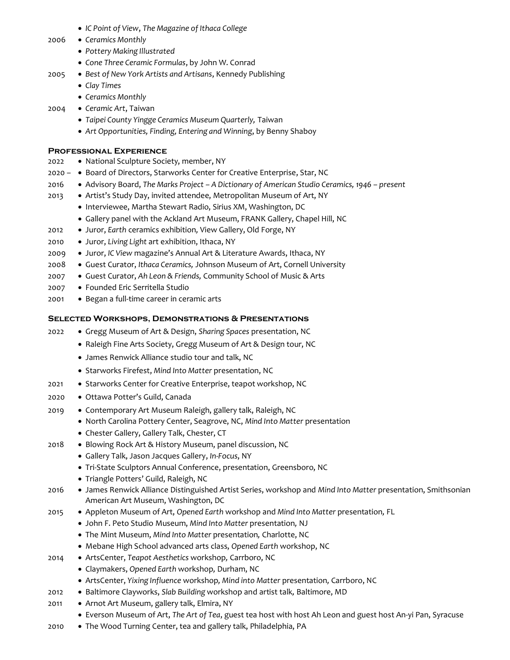- *IC Point of View*, *The Magazine of Ithaca College*
- 2006 *Ceramics Monthly*
	- *Pottery Making Illustrated*
	- *Cone Three Ceramic Formulas*, by John W. Conrad
- 2005 *Best of New York Artists and Artisans*, Kennedy Publishing
	- *Clay Times*
	- *Ceramics Monthly*
- 2004 *Ceramic Art*, Taiwan
	- *Taipei County Yingge Ceramics Museum Quarterly,* Taiwan
	- *Art Opportunities, Finding, Entering and Winning*, by Benny Shaboy

## **Professional Experience**

- 2022 National Sculpture Society, member, NY
- 2020 • Board of Directors, Starworks Center for Creative Enterprise, Star, NC
- 2016 Advisory Board, *The Marks Project – A Dictionary of American Studio Ceramics, 1946 – present*
- 2013 Artist's Study Day, invited attendee, Metropolitan Museum of Art, NY
	- Interviewee, Martha Stewart Radio, Sirius XM, Washington, DC
	- Gallery panel with the Ackland Art Museum, FRANK Gallery, Chapel Hill, NC
- 2012 Juror, *Earth* ceramics exhibition*,* View Gallery, Old Forge, NY
- 2010 Juror, *Living Light* art exhibition, Ithaca, NY
- 2009 Juror, *IC View* magazine's Annual Art & Literature Awards, Ithaca, NY
- 2008 Guest Curator, *Ithaca Ceramics,* Johnson Museum of Art, Cornell University
- 2007 Guest Curator, *Ah Leon & Friends,* Community School of Music & Arts
- 2007 Founded Eric Serritella Studio
- 2001 Began a full-time career in ceramic arts

# **Selected Workshops, Demonstrations & Presentations**

- 2022 Gregg Museum of Art & Design, *Sharing Spaces* presentation, NC
	- Raleigh Fine Arts Society, Gregg Museum of Art & Design tour, NC
	- James Renwick Alliance studio tour and talk, NC
	- Starworks Firefest, Mind Into Matter presentation, NC
- 2021 Starworks Center for Creative Enterprise, teapot workshop, NC
- 2020 Ottawa Potter's Guild, Canada
- 2019 Contemporary Art Museum Raleigh, gallery talk, Raleigh, NC
	- North Carolina Pottery Center, Seagrove, NC, *Mind Into Matter* presentation
	- Chester Gallery, Gallery Talk, Chester, CT
- 2018 Blowing Rock Art & History Museum, panel discussion, NC
	- Gallery Talk, Jason Jacques Gallery, *In-Focus*, NY
	- Tri-State Sculptors Annual Conference, presentation, Greensboro, NC
	- Triangle Potters' Guild, Raleigh, NC
- 2016 James Renwick Alliance Distinguished Artist Series, workshop and *Mind Into Matter* presentation, Smithsonian American Art Museum, Washington, DC
- 2015 Appleton Museum of Art, *Opened Earth* workshop and *Mind Into Matter* presentation*,* FL
	- John F. Peto Studio Museum, *Mind Into Matter* presentation*,* NJ
	- The Mint Museum, *Mind Into Matter* presentation*,* Charlotte, NC
	- Mebane High School advanced arts class, *Opened Earth* workshop, NC
- 2014 ArtsCenter, *Teapot Aesthetics* workshop*,* Carrboro, NC
	- Claymakers, *Opened Earth* workshop*,* Durham, NC
	- ArtsCenter, *Yixing Influence* workshop*, Mind into Matter* presentation*,* Carrboro, NC
- 2012 Baltimore Clayworks, *Slab Building* workshop and artist talk*,* Baltimore, MD
- 2011 Arnot Art Museum, gallery talk, Elmira, NY
	- Everson Museum of Art, *The Art of Tea*, guest tea host with host Ah Leon and guest host An-yi Pan, Syracuse
- 2010 The Wood Turning Center, tea and gallery talk, Philadelphia, PA